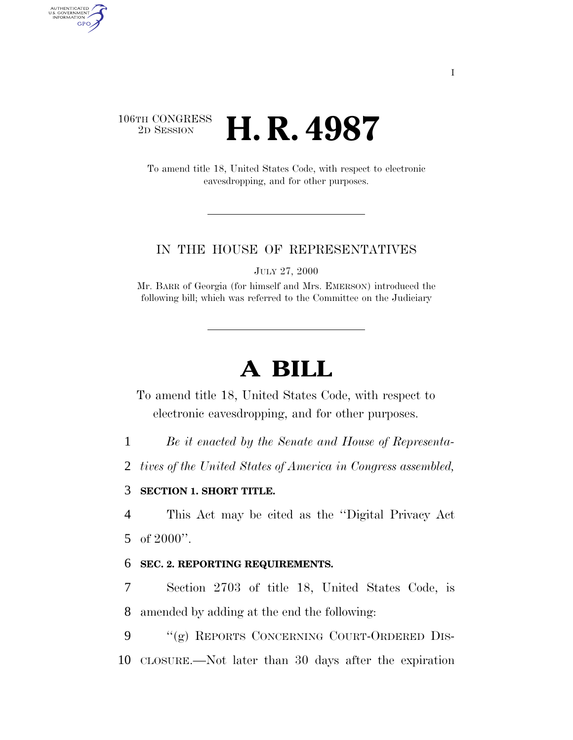### 106TH CONGRESS <sup>2D SESSION</sup> **H. R. 4987**

AUTHENTICATED<br>U.S. GOVERNMENT<br>INFORMATION **GPO** 

> To amend title 18, United States Code, with respect to electronic eavesdropping, and for other purposes.

#### IN THE HOUSE OF REPRESENTATIVES

JULY 27, 2000

Mr. BARR of Georgia (for himself and Mrs. EMERSON) introduced the following bill; which was referred to the Committee on the Judiciary

# **A BILL**

To amend title 18, United States Code, with respect to electronic eavesdropping, and for other purposes.

1 *Be it enacted by the Senate and House of Representa-*

2 *tives of the United States of America in Congress assembled,*

#### 3 **SECTION 1. SHORT TITLE.**

4 This Act may be cited as the ''Digital Privacy Act 5 of 2000''.

#### 6 **SEC. 2. REPORTING REQUIREMENTS.**

7 Section 2703 of title 18, United States Code, is 8 amended by adding at the end the following:

9 "(g) REPORTS CONCERNING COURT-ORDERED DIS-10 CLOSURE.—Not later than 30 days after the expiration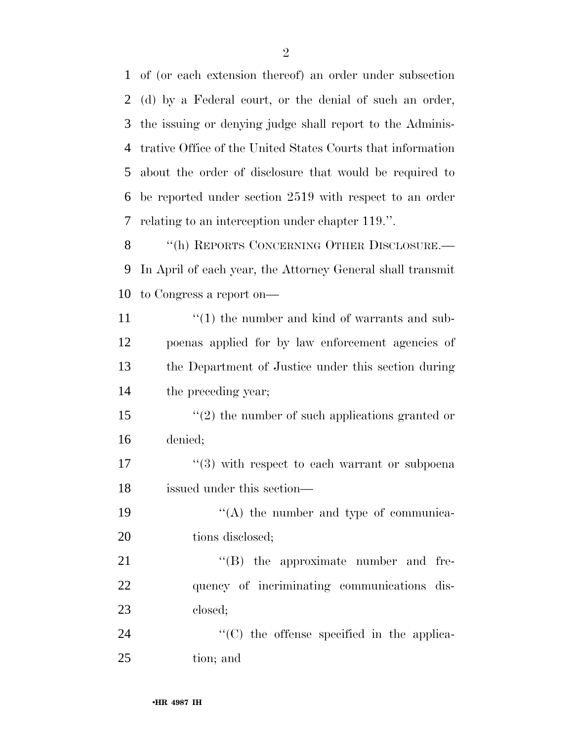of (or each extension thereof) an order under subsection (d) by a Federal court, or the denial of such an order, the issuing or denying judge shall report to the Adminis- trative Office of the United States Courts that information about the order of disclosure that would be required to be reported under section 2519 with respect to an order relating to an interception under chapter 119.''. 8 "(h) REPORTS CONCERNING OTHER DISCLOSURE.— In April of each year, the Attorney General shall transmit to Congress a report on—  $\frac{1}{2}$  (1) the number and kind of warrants and sub- poenas applied for by law enforcement agencies of the Department of Justice under this section during the preceding year; ''(2) the number of such applications granted or denied;  $\frac{17}{2}$  ''(3) with respect to each warrant or subpoena issued under this section—  $\langle (A)$  the number and type of communica-20 tions disclosed;  $\text{``(B)}$  the approximate number and fre-quency of incriminating communications dis-

24  $\cdot$  (C) the offense specified in the applica-tion; and

closed;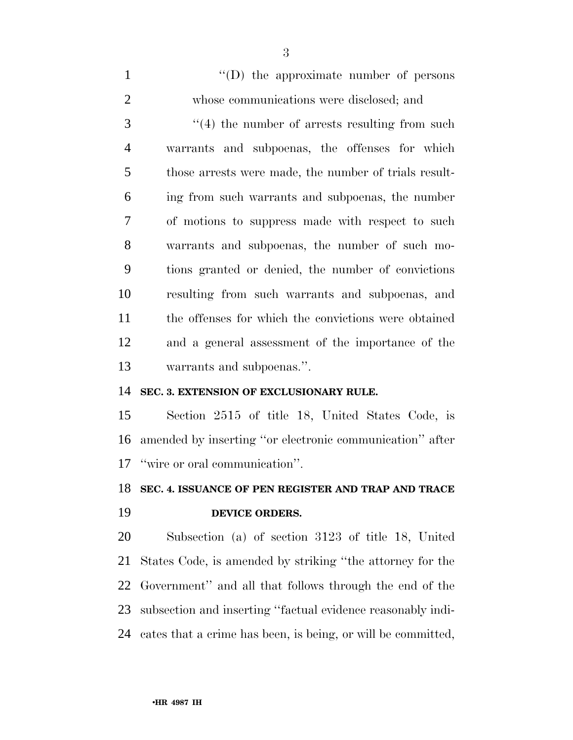| $\mathbf{1}$   | $\lq\lq$ (D) the approximate number of persons        |
|----------------|-------------------------------------------------------|
| $\overline{2}$ | whose communications were disclosed; and              |
| 3              | $\cdot$ (4) the number of arrests resulting from such |
| $\overline{4}$ | warrants and subpoenas, the offenses for which        |
| 5              | those arrests were made, the number of trials result- |
| 6              | ing from such warrants and subpoenas, the number      |
| 7              | of motions to suppress made with respect to such      |
| 8              | warrants and subpoenas, the number of such mo-        |
| 9              | tions granted or denied, the number of convictions    |
| 10             | resulting from such warrants and subpoenas, and       |
| 11             | the offenses for which the convictions were obtained  |
| 12             | and a general assessment of the importance of the     |
| 13             | warrants and subpoenas.".                             |

#### **SEC. 3. EXTENSION OF EXCLUSIONARY RULE.**

 Section 2515 of title 18, United States Code, is amended by inserting ''or electronic communication'' after ''wire or oral communication''.

### **SEC. 4. ISSUANCE OF PEN REGISTER AND TRAP AND TRACE DEVICE ORDERS.**

 Subsection (a) of section 3123 of title 18, United States Code, is amended by striking ''the attorney for the Government'' and all that follows through the end of the subsection and inserting ''factual evidence reasonably indi-cates that a crime has been, is being, or will be committed,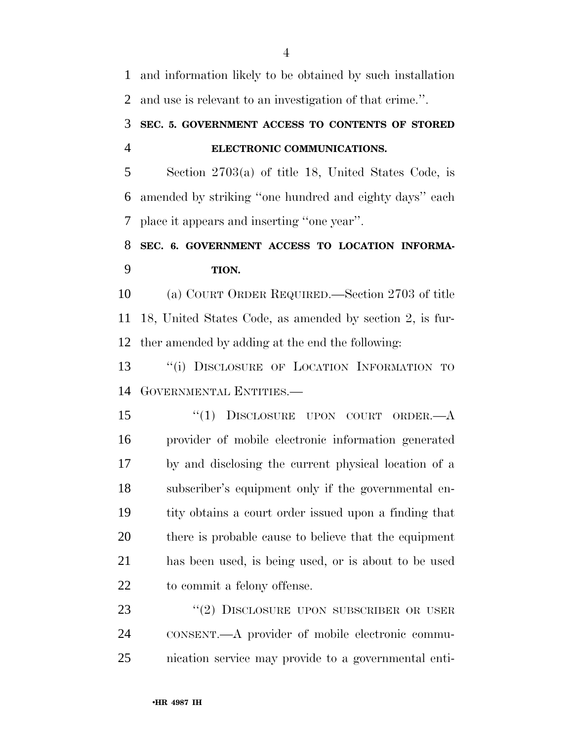and information likely to be obtained by such installation and use is relevant to an investigation of that crime.''.

### **SEC. 5. GOVERNMENT ACCESS TO CONTENTS OF STORED ELECTRONIC COMMUNICATIONS.**

 Section 2703(a) of title 18, United States Code, is amended by striking ''one hundred and eighty days'' each place it appears and inserting ''one year''.

## **SEC. 6. GOVERNMENT ACCESS TO LOCATION INFORMA-TION.**

 (a) COURT ORDER REQUIRED.—Section 2703 of title 18, United States Code, as amended by section 2, is fur-ther amended by adding at the end the following:

13 "(i) DISCLOSURE OF LOCATION INFORMATION TO GOVERNMENTAL ENTITIES.—

15 "(1) DISCLOSURE UPON COURT ORDER.—A provider of mobile electronic information generated by and disclosing the current physical location of a subscriber's equipment only if the governmental en- tity obtains a court order issued upon a finding that there is probable cause to believe that the equipment has been used, is being used, or is about to be used 22 to commit a felony offense.

23 "(2) DISCLOSURE UPON SUBSCRIBER OR USER CONSENT.—A provider of mobile electronic commu-nication service may provide to a governmental enti-